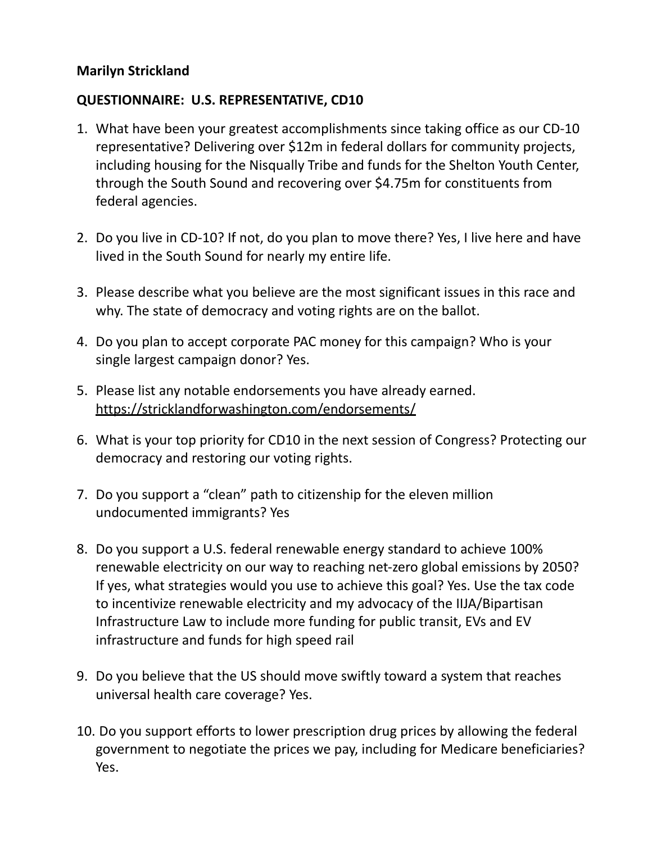## **Marilyn Strickland**

## **QUESTIONNAIRE: U.S. REPRESENTATIVE, CD10**

- 1. What have been your greatest accomplishments since taking office as our CD-10 representative? Delivering over \$12m in federal dollars for community projects, including housing for the Nisqually Tribe and funds for the Shelton Youth Center, through the South Sound and recovering over \$4.75m for constituents from federal agencies.
- 2. Do you live in CD-10? If not, do you plan to move there? Yes, I live here and have lived in the South Sound for nearly my entire life.
- 3. Please describe what you believe are the most significant issues in this race and why. The state of democracy and voting rights are on the ballot.
- 4. Do you plan to accept corporate PAC money for this campaign? Who is your single largest campaign donor? Yes.
- 5. Please list any notable endorsements you have already earned. <https://stricklandforwashington.com/endorsements/>
- 6. What is your top priority for CD10 in the next session of Congress? Protecting our democracy and restoring our voting rights.
- 7. Do you support a "clean" path to citizenship for the eleven million undocumented immigrants? Yes
- 8. Do you support a U.S. federal renewable energy standard to achieve 100% renewable electricity on our way to reaching net-zero global emissions by 2050? If yes, what strategies would you use to achieve this goal? Yes. Use the tax code to incentivize renewable electricity and my advocacy of the IIJA/Bipartisan Infrastructure Law to include more funding for public transit, EVs and EV infrastructure and funds for high speed rail
- 9. Do you believe that the US should move swiftly toward a system that reaches universal health care coverage? Yes.
- 10. Do you support efforts to lower prescription drug prices by allowing the federal government to negotiate the prices we pay, including for Medicare beneficiaries? Yes.